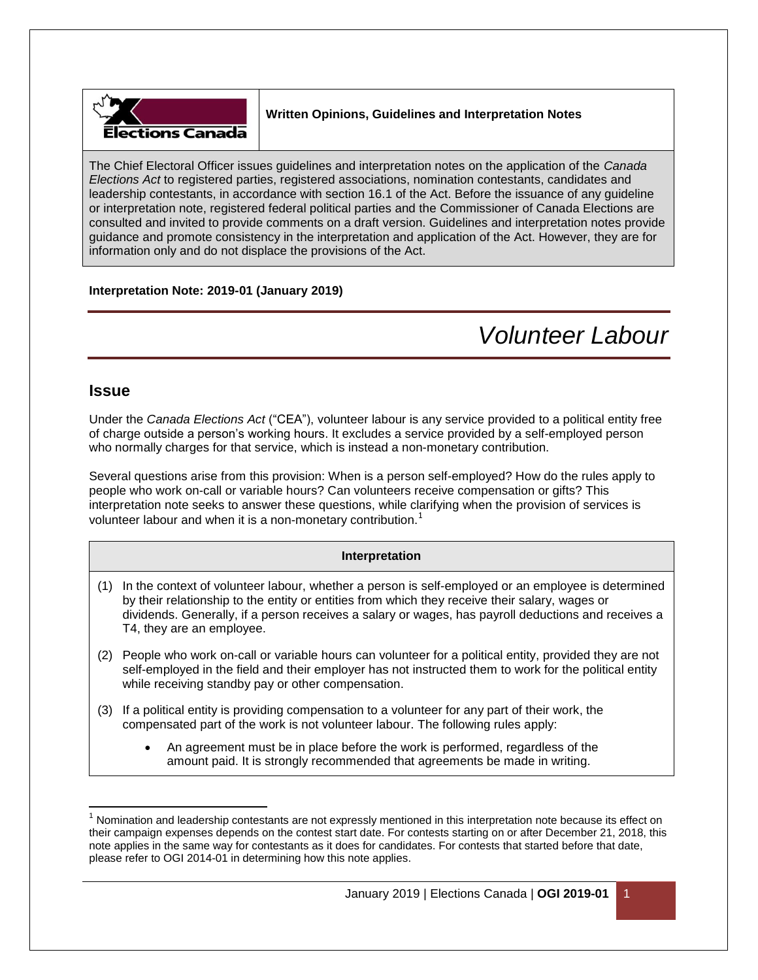

### **Written Opinions, Guidelines and Interpretation Notes**

The Chief Electoral Officer issues guidelines and interpretation notes on the application of the *Canada Elections Act* to registered parties, registered associations, nomination contestants, candidates and leadership contestants, in accordance with section 16.1 of the Act. Before the issuance of any guideline or interpretation note, registered federal political parties and the Commissioner of Canada Elections are consulted and invited to provide comments on a draft version. Guidelines and interpretation notes provide guidance and promote consistency in the interpretation and application of the Act. However, they are for information only and do not displace the provisions of the Act.

### **Interpretation Note: 2019-01 (January 2019)**

# *Volunteer Labour*

### **Issue**

Under the *Canada Elections Act* ("CEA"), volunteer labour is any service provided to a political entity free of charge outside a person's working hours. It excludes a service provided by a self-employed person who normally charges for that service, which is instead a non-monetary contribution.

Several questions arise from this provision: When is a person self-employed? How do the rules apply to people who work on-call or variable hours? Can volunteers receive compensation or gifts? This interpretation note seeks to answer these questions, while clarifying when the provision of services is volunteer labour and when it is a non-monetary contribution.<sup>1</sup>

### **Interpretation**

- (1) In the context of volunteer labour, whether a person is self-employed or an employee is determined by their relationship to the entity or entities from which they receive their salary, wages or dividends. Generally, if a person receives a salary or wages, has payroll deductions and receives a T4, they are an employee.
- (2) People who work on-call or variable hours can volunteer for a political entity, provided they are not self-employed in the field and their employer has not instructed them to work for the political entity while receiving standby pay or other compensation.
- (3) If a political entity is providing compensation to a volunteer for any part of their work, the compensated part of the work is not volunteer labour. The following rules apply:
	- An agreement must be in place before the work is performed, regardless of the amount paid. It is strongly recommended that agreements be made in writing.

 $\overline{\phantom{a}}$  $1$  Nomination and leadership contestants are not expressly mentioned in this interpretation note because its effect on their campaign expenses depends on the contest start date. For contests starting on or after December 21, 2018, this note applies in the same way for contestants as it does for candidates. For contests that started before that date, please refer to OGI 2014-01 in determining how this note applies.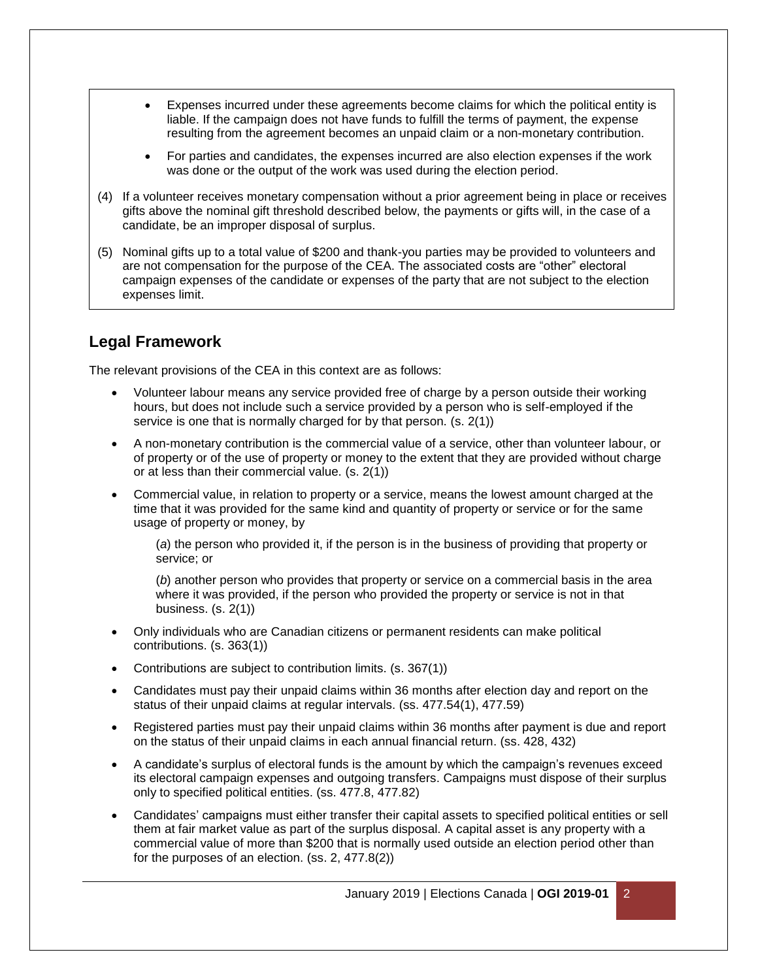- Expenses incurred under these agreements become claims for which the political entity is liable. If the campaign does not have funds to fulfill the terms of payment, the expense resulting from the agreement becomes an unpaid claim or a non-monetary contribution.
- For parties and candidates, the expenses incurred are also election expenses if the work was done or the output of the work was used during the election period.
- (4) If a volunteer receives monetary compensation without a prior agreement being in place or receives gifts above the nominal gift threshold described below, the payments or gifts will, in the case of a candidate, be an improper disposal of surplus.
- (5) Nominal gifts up to a total value of \$200 and thank-you parties may be provided to volunteers and are not compensation for the purpose of the CEA. The associated costs are "other" electoral campaign expenses of the candidate or expenses of the party that are not subject to the election expenses limit.

## **Legal Framework**

The relevant provisions of the CEA in this context are as follows:

- Volunteer labour means any service provided free of charge by a person outside their working hours, but does not include such a service provided by a person who is self-employed if the service is one that is normally charged for by that person. (s. 2(1))
- A non-monetary contribution is the commercial value of a service, other than volunteer labour, or of property or of the use of property or money to the extent that they are provided without charge or at less than their commercial value. (s. 2(1))
- Commercial value, in relation to property or a service, means the lowest amount charged at the time that it was provided for the same kind and quantity of property or service or for the same usage of property or money, by

(*a*) the person who provided it, if the person is in the business of providing that property or service; or

(*b*) another person who provides that property or service on a commercial basis in the area where it was provided, if the person who provided the property or service is not in that business. (s. 2(1))

- Only individuals who are Canadian citizens or permanent residents can make political contributions. (s. 363(1))
- Contributions are subject to contribution limits. (s. 367(1))
- Candidates must pay their unpaid claims within 36 months after election day and report on the status of their unpaid claims at regular intervals. (ss. 477.54(1), 477.59)
- Registered parties must pay their unpaid claims within 36 months after payment is due and report on the status of their unpaid claims in each annual financial return. (ss. 428, 432)
- A candidate's surplus of electoral funds is the amount by which the campaign's revenues exceed its electoral campaign expenses and outgoing transfers. Campaigns must dispose of their surplus only to specified political entities. (ss. 477.8, 477.82)
- Candidates' campaigns must either transfer their capital assets to specified political entities or sell them at fair market value as part of the surplus disposal. A capital asset is any property with a commercial value of more than \$200 that is normally used outside an election period other than for the purposes of an election. (ss. 2, 477.8(2))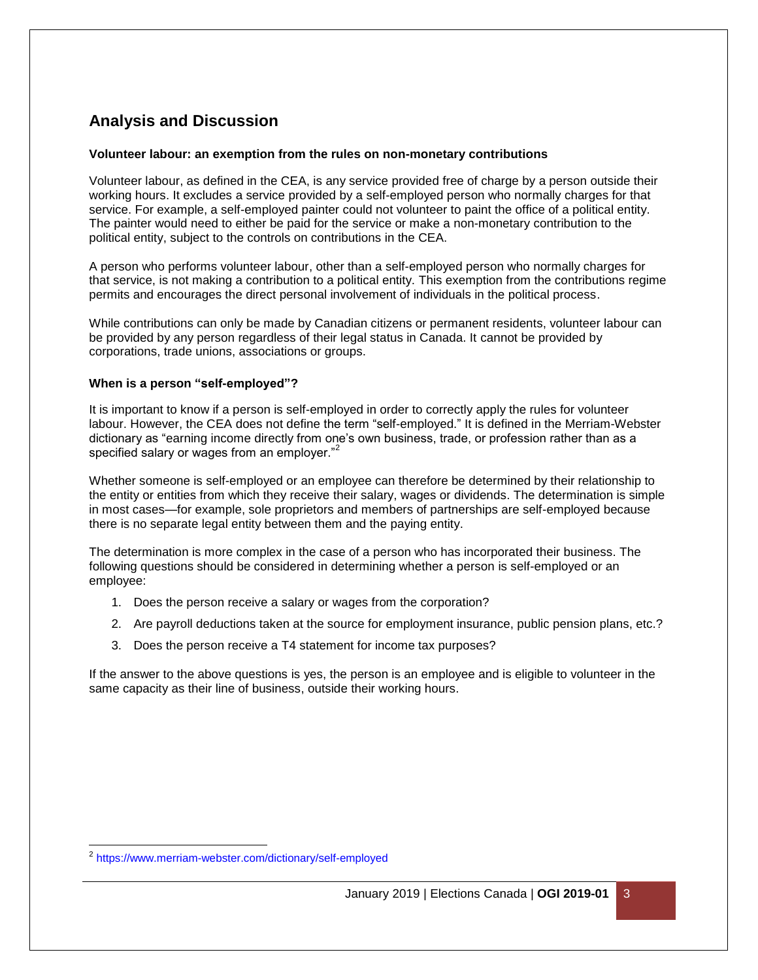# **Analysis and Discussion**

### **Volunteer labour: an exemption from the rules on non-monetary contributions**

Volunteer labour, as defined in the CEA, is any service provided free of charge by a person outside their working hours. It excludes a service provided by a self-employed person who normally charges for that service. For example, a self-employed painter could not volunteer to paint the office of a political entity. The painter would need to either be paid for the service or make a non-monetary contribution to the political entity, subject to the controls on contributions in the CEA.

A person who performs volunteer labour, other than a self-employed person who normally charges for that service, is not making a contribution to a political entity. This exemption from the contributions regime permits and encourages the direct personal involvement of individuals in the political process.

While contributions can only be made by Canadian citizens or permanent residents, volunteer labour can be provided by any person regardless of their legal status in Canada. It cannot be provided by corporations, trade unions, associations or groups.

### **When is a person "self-employed"?**

It is important to know if a person is self-employed in order to correctly apply the rules for volunteer labour. However, the CEA does not define the term "self-employed." It is defined in the Merriam-Webster dictionary as "earning income directly from one's own business, trade, or profession rather than as a specified salary or wages from an employer."<sup>2</sup>

Whether someone is self-employed or an employee can therefore be determined by their relationship to the entity or entities from which they receive their salary, wages or dividends. The determination is simple in most cases—for example, sole proprietors and members of partnerships are self-employed because there is no separate legal entity between them and the paying entity.

The determination is more complex in the case of a person who has incorporated their business. The following questions should be considered in determining whether a person is self-employed or an employee:

- 1. Does the person receive a salary or wages from the corporation?
- 2. Are payroll deductions taken at the source for employment insurance, public pension plans, etc.?
- 3. Does the person receive a T4 statement for income tax purposes?

If the answer to the above questions is yes, the person is an employee and is eligible to volunteer in the same capacity as their line of business, outside their working hours.

 2 <https://www.merriam-webster.com/dictionary/self-employed>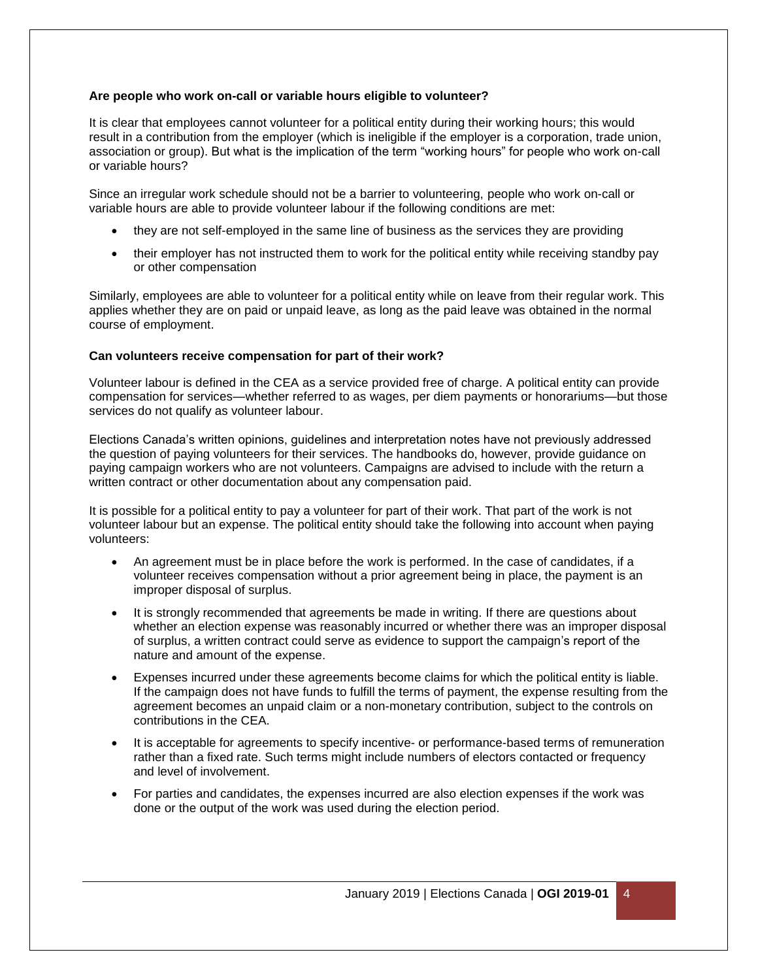### **Are people who work on-call or variable hours eligible to volunteer?**

It is clear that employees cannot volunteer for a political entity during their working hours; this would result in a contribution from the employer (which is ineligible if the employer is a corporation, trade union, association or group). But what is the implication of the term "working hours" for people who work on-call or variable hours?

Since an irregular work schedule should not be a barrier to volunteering, people who work on-call or variable hours are able to provide volunteer labour if the following conditions are met:

- they are not self-employed in the same line of business as the services they are providing
- their employer has not instructed them to work for the political entity while receiving standby pay or other compensation

Similarly, employees are able to volunteer for a political entity while on leave from their regular work. This applies whether they are on paid or unpaid leave, as long as the paid leave was obtained in the normal course of employment.

### **Can volunteers receive compensation for part of their work?**

Volunteer labour is defined in the CEA as a service provided free of charge. A political entity can provide compensation for services—whether referred to as wages, per diem payments or honorariums—but those services do not qualify as volunteer labour.

Elections Canada's written opinions, guidelines and interpretation notes have not previously addressed the question of paying volunteers for their services. The handbooks do, however, provide guidance on paying campaign workers who are not volunteers. Campaigns are advised to include with the return a written contract or other documentation about any compensation paid.

It is possible for a political entity to pay a volunteer for part of their work. That part of the work is not volunteer labour but an expense. The political entity should take the following into account when paying volunteers:

- An agreement must be in place before the work is performed. In the case of candidates, if a volunteer receives compensation without a prior agreement being in place, the payment is an improper disposal of surplus.
- It is strongly recommended that agreements be made in writing. If there are questions about whether an election expense was reasonably incurred or whether there was an improper disposal of surplus, a written contract could serve as evidence to support the campaign's report of the nature and amount of the expense.
- Expenses incurred under these agreements become claims for which the political entity is liable. If the campaign does not have funds to fulfill the terms of payment, the expense resulting from the agreement becomes an unpaid claim or a non-monetary contribution, subject to the controls on contributions in the CEA.
- It is acceptable for agreements to specify incentive- or performance-based terms of remuneration rather than a fixed rate. Such terms might include numbers of electors contacted or frequency and level of involvement.
- For parties and candidates, the expenses incurred are also election expenses if the work was done or the output of the work was used during the election period.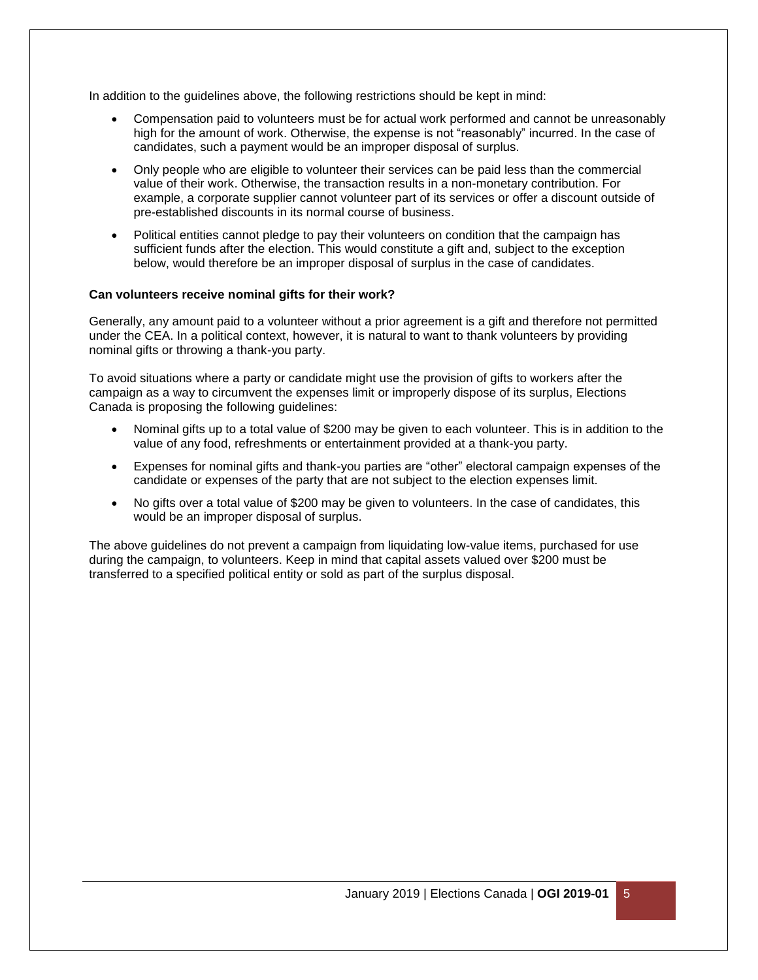In addition to the guidelines above, the following restrictions should be kept in mind:

- Compensation paid to volunteers must be for actual work performed and cannot be unreasonably high for the amount of work. Otherwise, the expense is not "reasonably" incurred. In the case of candidates, such a payment would be an improper disposal of surplus.
- Only people who are eligible to volunteer their services can be paid less than the commercial value of their work. Otherwise, the transaction results in a non-monetary contribution. For example, a corporate supplier cannot volunteer part of its services or offer a discount outside of pre-established discounts in its normal course of business.
- Political entities cannot pledge to pay their volunteers on condition that the campaign has sufficient funds after the election. This would constitute a gift and, subject to the exception below, would therefore be an improper disposal of surplus in the case of candidates.

### **Can volunteers receive nominal gifts for their work?**

Generally, any amount paid to a volunteer without a prior agreement is a gift and therefore not permitted under the CEA. In a political context, however, it is natural to want to thank volunteers by providing nominal gifts or throwing a thank-you party.

To avoid situations where a party or candidate might use the provision of gifts to workers after the campaign as a way to circumvent the expenses limit or improperly dispose of its surplus, Elections Canada is proposing the following guidelines:

- Nominal gifts up to a total value of \$200 may be given to each volunteer. This is in addition to the value of any food, refreshments or entertainment provided at a thank-you party.
- Expenses for nominal gifts and thank-you parties are "other" electoral campaign expenses of the candidate or expenses of the party that are not subject to the election expenses limit.
- No gifts over a total value of \$200 may be given to volunteers. In the case of candidates, this would be an improper disposal of surplus.

The above guidelines do not prevent a campaign from liquidating low-value items, purchased for use during the campaign, to volunteers. Keep in mind that capital assets valued over \$200 must be transferred to a specified political entity or sold as part of the surplus disposal.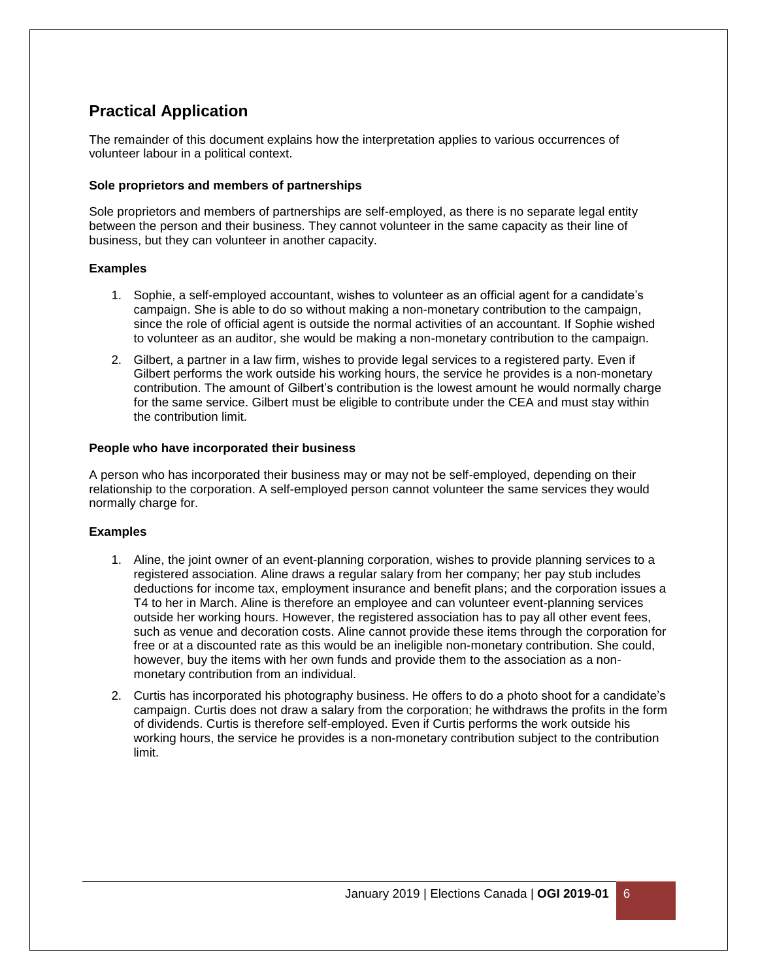# **Practical Application**

The remainder of this document explains how the interpretation applies to various occurrences of volunteer labour in a political context.

### **Sole proprietors and members of partnerships**

Sole proprietors and members of partnerships are self-employed, as there is no separate legal entity between the person and their business. They cannot volunteer in the same capacity as their line of business, but they can volunteer in another capacity.

### **Examples**

- 1. Sophie, a self-employed accountant, wishes to volunteer as an official agent for a candidate's campaign. She is able to do so without making a non-monetary contribution to the campaign, since the role of official agent is outside the normal activities of an accountant. If Sophie wished to volunteer as an auditor, she would be making a non-monetary contribution to the campaign.
- 2. Gilbert, a partner in a law firm, wishes to provide legal services to a registered party. Even if Gilbert performs the work outside his working hours, the service he provides is a non-monetary contribution. The amount of Gilbert's contribution is the lowest amount he would normally charge for the same service. Gilbert must be eligible to contribute under the CEA and must stay within the contribution limit.

### **People who have incorporated their business**

A person who has incorporated their business may or may not be self-employed, depending on their relationship to the corporation. A self-employed person cannot volunteer the same services they would normally charge for.

### **Examples**

- 1. Aline, the joint owner of an event-planning corporation, wishes to provide planning services to a registered association. Aline draws a regular salary from her company; her pay stub includes deductions for income tax, employment insurance and benefit plans; and the corporation issues a T4 to her in March. Aline is therefore an employee and can volunteer event-planning services outside her working hours. However, the registered association has to pay all other event fees, such as venue and decoration costs. Aline cannot provide these items through the corporation for free or at a discounted rate as this would be an ineligible non-monetary contribution. She could, however, buy the items with her own funds and provide them to the association as a nonmonetary contribution from an individual.
- 2. Curtis has incorporated his photography business. He offers to do a photo shoot for a candidate's campaign. Curtis does not draw a salary from the corporation; he withdraws the profits in the form of dividends. Curtis is therefore self-employed. Even if Curtis performs the work outside his working hours, the service he provides is a non-monetary contribution subject to the contribution limit.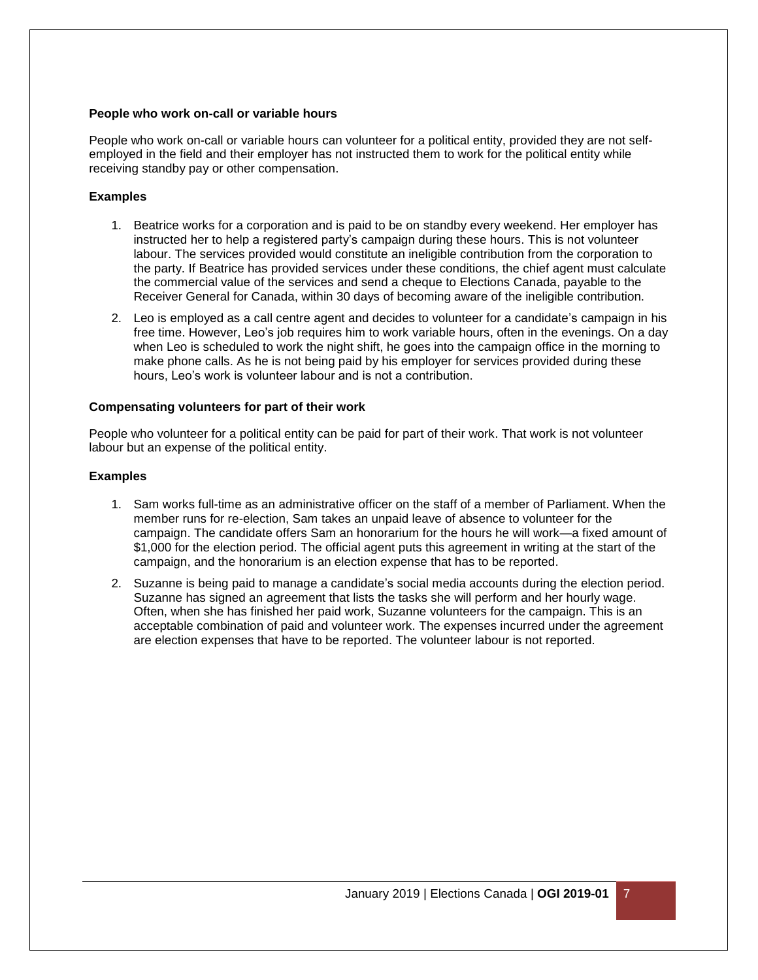### **People who work on-call or variable hours**

People who work on-call or variable hours can volunteer for a political entity, provided they are not selfemployed in the field and their employer has not instructed them to work for the political entity while receiving standby pay or other compensation.

### **Examples**

- 1. Beatrice works for a corporation and is paid to be on standby every weekend. Her employer has instructed her to help a registered party's campaign during these hours. This is not volunteer labour. The services provided would constitute an ineligible contribution from the corporation to the party. If Beatrice has provided services under these conditions, the chief agent must calculate the commercial value of the services and send a cheque to Elections Canada, payable to the Receiver General for Canada, within 30 days of becoming aware of the ineligible contribution.
- 2. Leo is employed as a call centre agent and decides to volunteer for a candidate's campaign in his free time. However, Leo's job requires him to work variable hours, often in the evenings. On a day when Leo is scheduled to work the night shift, he goes into the campaign office in the morning to make phone calls. As he is not being paid by his employer for services provided during these hours, Leo's work is volunteer labour and is not a contribution.

#### **Compensating volunteers for part of their work**

People who volunteer for a political entity can be paid for part of their work. That work is not volunteer labour but an expense of the political entity.

#### **Examples**

- 1. Sam works full-time as an administrative officer on the staff of a member of Parliament. When the member runs for re-election, Sam takes an unpaid leave of absence to volunteer for the campaign. The candidate offers Sam an honorarium for the hours he will work—a fixed amount of \$1,000 for the election period. The official agent puts this agreement in writing at the start of the campaign, and the honorarium is an election expense that has to be reported.
- 2. Suzanne is being paid to manage a candidate's social media accounts during the election period. Suzanne has signed an agreement that lists the tasks she will perform and her hourly wage. Often, when she has finished her paid work, Suzanne volunteers for the campaign. This is an acceptable combination of paid and volunteer work. The expenses incurred under the agreement are election expenses that have to be reported. The volunteer labour is not reported.